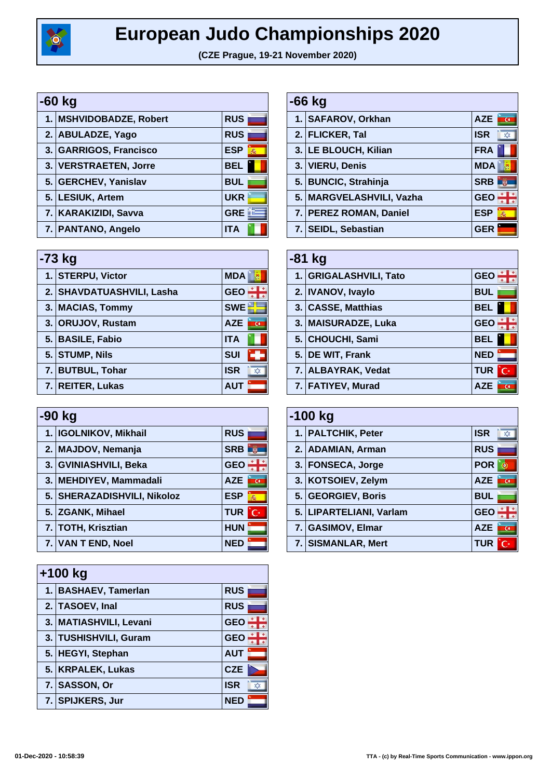

## **European Judo Championships 2020**

**(CZE Prague, 19-21 November 2020)**

| -60 kg |                         |                 |
|--------|-------------------------|-----------------|
|        | 1. MSHVIDOBADZE, Robert | <b>RUS</b>      |
|        | 2. ABULADZE, Yago       | <b>RUS</b>      |
|        | 3. GARRIGOS, Francisco  | <b>ESP</b><br>燕 |
|        | 3. VERSTRAETEN, Jorre   | <b>BEL</b>      |
|        | 5. GERCHEV, Yanislav    | <b>BUL</b>      |
|        | 5. LESIUK, Artem        | <b>UKR</b>      |
|        | 7. KARAKIZIDI, Savva    | <b>GRE</b>      |
|        | 7. PANTANO, Angelo      | <b>ITA</b>      |

| $-73$ kg                  |            |  |
|---------------------------|------------|--|
| 1. STERPU, Victor         | <b>MDA</b> |  |
| 2. SHAVDATUASHVILI, Lasha | <b>GEO</b> |  |
| 3. MACIAS, Tommy          | <b>SWE</b> |  |
| 3. ORUJOV, Rustam         | <b>AZE</b> |  |
| 5. BASILE, Fabio          | <b>ITA</b> |  |
| 5. STUMP, Nils            | <b>SUI</b> |  |
| 7. BUTBUL, Tohar          | <b>ISR</b> |  |
| 7. REITER, Lukas          | <b>AUT</b> |  |

| -90 kg                      |                  |  |
|-----------------------------|------------------|--|
| 1. IGOLNIKOV, Mikhail       | <b>RUS</b>       |  |
| 2. MAJDOV, Nemanja          | <b>SRB</b>       |  |
| 3. GVINIASHVILI, Beka       | <b>GEO</b>       |  |
| 3. MEHDIYEV, Mammadali      | <b>AZE</b>       |  |
| 5. SHERAZADISHVILI, Nikoloz | <b>ESP</b><br>燕  |  |
| 5. ZGANK, Mihael            | <b>TUR</b><br>Ċ. |  |
| 7. TOTH, Krisztian          | <b>HUN</b>       |  |
| 7. VAN T END, Noel          | <b>NED</b>       |  |

| $+100$ kg              |            |  |
|------------------------|------------|--|
| 1. BASHAEV, Tamerlan   | <b>RUS</b> |  |
| 2. TASOEV, Inal        | <b>RUS</b> |  |
| 3. MATIASHVILI, Levani | <b>GEO</b> |  |
| 3. TUSHISHVILI, Guram  | <b>GEO</b> |  |
| 5. HEGYI, Stephan      | <b>AUT</b> |  |
| 5. KRPALEK, Lukas      | <b>CZE</b> |  |
| 7. SASSON, Or          | <b>ISR</b> |  |
| 7. SPIJKERS, Jur       | <b>NED</b> |  |

| $-66$ kg |                          |                 |
|----------|--------------------------|-----------------|
|          | 1. SAFAROV, Orkhan       | <b>AZE</b>      |
|          | 2. FLICKER, Tal          | <b>ISR</b>      |
|          | 3. LE BLOUCH, Kilian     | <b>FRA</b>      |
|          | 3. VIERU, Denis          | <b>MDA</b>      |
|          | 5. BUNCIC, Strahinja     | <b>SRB</b>      |
|          | 5. MARGVELASHVILI, Vazha | <b>GEO</b>      |
|          | 7. PEREZ ROMAN, Daniel   | <b>ESP</b><br>燕 |
|          | 7. SEIDL, Sebastian      | GER             |

| $-81$ kg               |                 |  |
|------------------------|-----------------|--|
| 1. GRIGALASHVILI, Tato | <b>GEC</b>      |  |
| 2. IVANOV, Ivaylo      | <b>BUL</b>      |  |
| 3. CASSE, Matthias     | <b>BEL</b>      |  |
| 3. MAISURADZE, Luka    | <b>GEO</b>      |  |
| 5. CHOUCHI, Sami       | <b>BEL</b>      |  |
| 5. DE WIT, Frank       | <b>NED</b>      |  |
| 7. ALBAYRAK, Vedat     | <b>TUR</b><br>Ō |  |
| 7. FATIYEV, Murad      | <b>AZE</b>      |  |

| $-100$ kg |                         |                              |
|-----------|-------------------------|------------------------------|
|           | 1. PALTCHIK, Peter      | <b>ISR</b><br>Х.             |
|           | 2. ADAMIAN, Arman       | <b>RUS</b>                   |
|           | 3. FONSECA, Jorge       | <b>POR</b>                   |
|           | 3. KOTSOIEV, Zelym      | <b>AZE</b><br>ত              |
|           | 5. GEORGIEV, Boris      | <b>BUL</b>                   |
|           | 5. LIPARTELIANI, Varlam | <b>GEO</b>                   |
|           | 7. GASIMOV, Elmar       | <b>AZE</b><br>$\overline{G}$ |
|           | 7. SISMANLAR, Mert      | <b>TUR</b>                   |